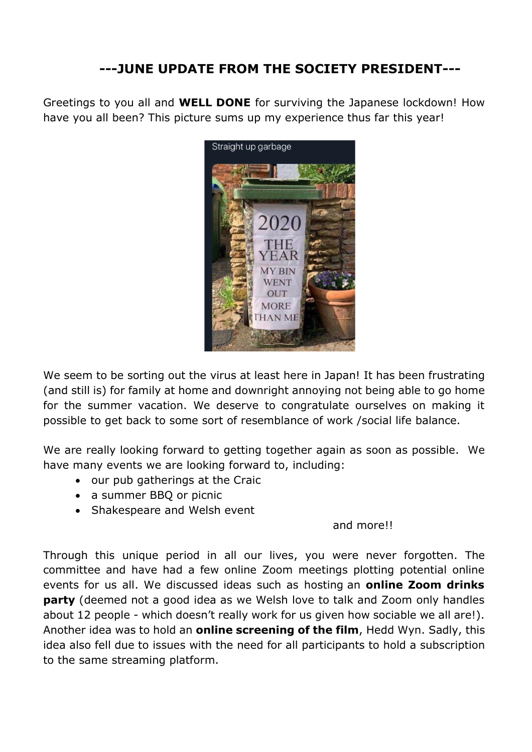## **---JUNE UPDATE FROM THE SOCIETY PRESIDENT---**

Greetings to you all and **WELL DONE** for surviving the Japanese lockdown! How have you all been? This picture sums up my experience thus far this year!



We seem to be sorting out the virus at least here in Japan! It has been frustrating (and still is) for family at home and downright annoying not being able to go home for the summer vacation. We deserve to congratulate ourselves on making it possible to get back to some sort of resemblance of work /social life balance.

We are really looking forward to getting together again as soon as possible. We have many events we are looking forward to, including:

- our pub gatherings at the Craic
- a summer BBQ or picnic
- Shakespeare and Welsh event

## and more!!

Through this unique period in all our lives, you were never forgotten. The committee and have had a few online Zoom meetings plotting potential online events for us all. We discussed ideas such as hosting an **online Zoom drinks party** (deemed not a good idea as we Welsh love to talk and Zoom only handles about 12 people - which doesn't really work for us given how sociable we all are!). Another idea was to hold an **online screening of the film**, Hedd Wyn. Sadly, this idea also fell due to issues with the need for all participants to hold a subscription to the same streaming platform.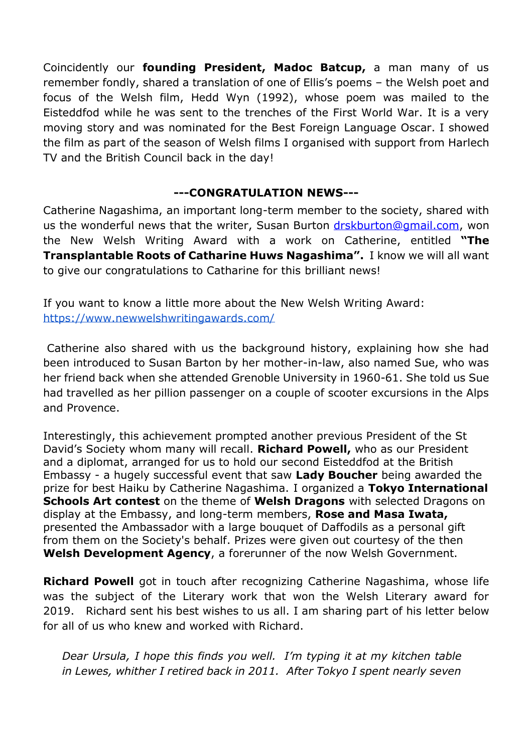Coincidently our **founding President, Madoc Batcup,** a man many of us remember fondly, shared a translation of one of Ellis's poems – the Welsh poet and focus of the Welsh film, Hedd Wyn (1992), whose poem was mailed to the Eisteddfod while he was sent to the trenches of the First World War. It is a very moving story and was nominated for the Best Foreign Language Oscar. I showed the film as part of the season of Welsh films I organised with support from Harlech TV and the British Council back in the day!

## **---CONGRATULATION NEWS---**

Catherine Nagashima, an important long-term member to the society, shared with us the wonderful news that the writer, Susan Burton [drskburton@gmail.com,](mailto:drskburton@gmail.com) won the New Welsh Writing Award with a work on Catherine, entitled **"The Transplantable Roots of Catharine Huws Nagashima".** I know we will all want to give our congratulations to Catharine for this brilliant news!

If you want to know a little more about the New Welsh Writing Award: https://www.newwelshwritingawards.com/

Catherine also shared with us the background history, explaining how she had been introduced to Susan Barton by her mother-in-law, also named Sue, who was her friend back when she attended Grenoble University in 1960-61. She told us Sue had travelled as her pillion passenger on a couple of scooter excursions in the Alps and Provence.

Interestingly, this achievement prompted another previous President of the St David's Society whom many will recall. **Richard Powell,** who as our President and a diplomat, arranged for us to hold our second Eisteddfod at the British Embassy - a hugely successful event that saw **Lady Boucher** being awarded the prize for best Haiku by Catherine Nagashima. I organized a **Tokyo International Schools Art contest** on the theme of **Welsh Dragons** with selected Dragons on display at the Embassy, and long-term members, **Rose and Masa Iwata,** presented the Ambassador with a large bouquet of Daffodils as a personal gift from them on the Society's behalf. Prizes were given out courtesy of the then **Welsh Development Agency**, a forerunner of the now Welsh Government.

**Richard Powell** got in touch after recognizing Catherine Nagashima, whose life was the subject of the Literary work that won the Welsh Literary award for 2019. Richard sent his best wishes to us all. I am sharing part of his letter below for all of us who knew and worked with Richard.

*Dear Ursula, I hope this finds you well. I'm typing it at my kitchen table in Lewes, whither I retired back in 2011. After Tokyo I spent nearly seven*